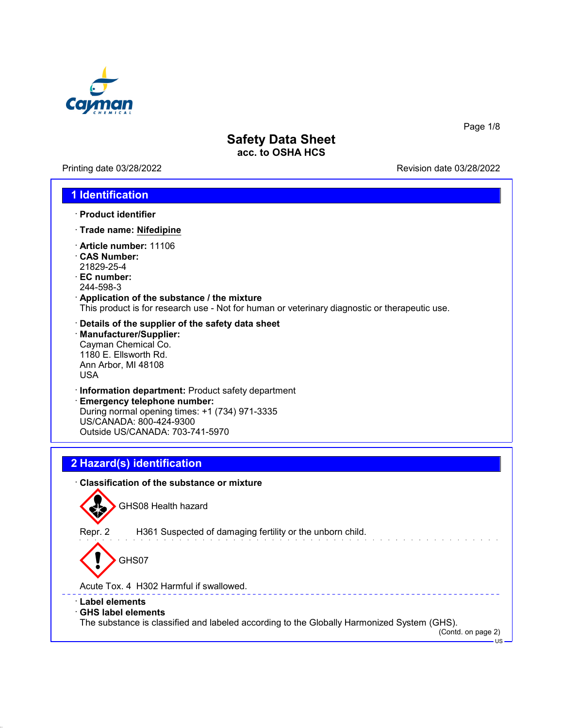

Printing date 03/28/2022 **Revision date 03/28/2022** 

Page 1/8

### **1 Identification**

- · **Product identifier**
- · **Trade name: Nifedipine**
- · **Article number:** 11106
- · **CAS Number:** 21829-25-4
- · **EC number:**
- 244-598-3
- · **Application of the substance / the mixture** This product is for research use - Not for human or veterinary diagnostic or therapeutic use.
- · **Details of the supplier of the safety data sheet** · **Manufacturer/Supplier:** Cayman Chemical Co. 1180 E. Ellsworth Rd. Ann Arbor, MI 48108 USA
- · **Information department:** Product safety department
- · **Emergency telephone number:** During normal opening times: +1 (734) 971-3335 US/CANADA: 800-424-9300 Outside US/CANADA: 703-741-5970

## **2 Hazard(s) identification**

### · **Classification of the substance or mixture**



GHS08 Health hazard

Repr. 2 H361 Suspected of damaging fertility or the unborn child.

GHS07

Acute Tox. 4 H302 Harmful if swallowed.

- · **Label elements**
- · **GHS label elements**

The substance is classified and labeled according to the Globally Harmonized System (GHS).

(Contd. on page 2)  $\overline{18}$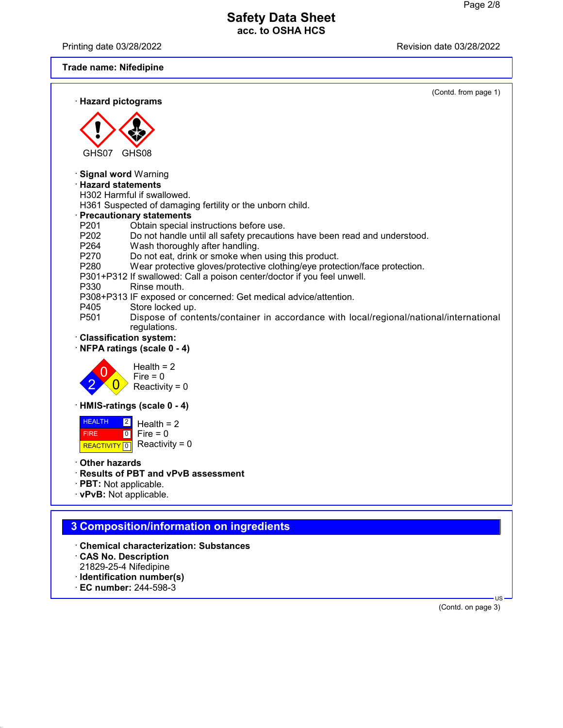Printing date 03/28/2022 Revision date 03/28/2022

# **Trade name: Nifedipine**

| · Hazard pictograms                                                                                                                                                                                                                                                                                                                                                                                                                                                                                                                                                                                                                                                                                                                                                                                                                                                                                                                  | (Contd. from page 1) |
|--------------------------------------------------------------------------------------------------------------------------------------------------------------------------------------------------------------------------------------------------------------------------------------------------------------------------------------------------------------------------------------------------------------------------------------------------------------------------------------------------------------------------------------------------------------------------------------------------------------------------------------------------------------------------------------------------------------------------------------------------------------------------------------------------------------------------------------------------------------------------------------------------------------------------------------|----------------------|
|                                                                                                                                                                                                                                                                                                                                                                                                                                                                                                                                                                                                                                                                                                                                                                                                                                                                                                                                      |                      |
| GHS08<br>GHS07                                                                                                                                                                                                                                                                                                                                                                                                                                                                                                                                                                                                                                                                                                                                                                                                                                                                                                                       |                      |
| <b>Signal word Warning</b><br>$\cdot$ Hazard statements<br>H302 Harmful if swallowed.<br>H361 Suspected of damaging fertility or the unborn child.<br>· Precautionary statements<br>P201<br>Obtain special instructions before use.<br>P <sub>202</sub><br>Do not handle until all safety precautions have been read and understood.<br>P264<br>Wash thoroughly after handling.<br>P270<br>Do not eat, drink or smoke when using this product.<br>P280<br>Wear protective gloves/protective clothing/eye protection/face protection.<br>P301+P312 If swallowed: Call a poison center/doctor if you feel unwell.<br>P330<br>Rinse mouth.<br>P308+P313 IF exposed or concerned: Get medical advice/attention.<br>P405<br>Store locked up.<br>P <sub>501</sub><br>Dispose of contents/container in accordance with local/regional/national/international<br>regulations.<br><b>Classification system:</b><br>NFPA ratings (scale 0 - 4) |                      |
| Health $= 2$<br>Fire $= 0$<br>Reactivity = $0$                                                                                                                                                                                                                                                                                                                                                                                                                                                                                                                                                                                                                                                                                                                                                                                                                                                                                       |                      |
| HMIS-ratings (scale 0 - 4)                                                                                                                                                                                                                                                                                                                                                                                                                                                                                                                                                                                                                                                                                                                                                                                                                                                                                                           |                      |
| <b>HEALTH</b><br>$\boxed{2}$<br>Health $= 2$<br>$\boxed{0}$<br>Fire = $0$<br><b>FIRE</b><br>Reactivity = $0$<br><b>REACTIVITY</b> 0                                                                                                                                                                                                                                                                                                                                                                                                                                                                                                                                                                                                                                                                                                                                                                                                  |                      |
| <b>Other hazards</b><br>· Results of PBT and vPvB assessment<br>PBT: Not applicable.<br>vPvB: Not applicable.                                                                                                                                                                                                                                                                                                                                                                                                                                                                                                                                                                                                                                                                                                                                                                                                                        |                      |
| 3 Composition/information on ingredients                                                                                                                                                                                                                                                                                                                                                                                                                                                                                                                                                                                                                                                                                                                                                                                                                                                                                             |                      |
| <b>Chemical characterization: Substances</b><br><b>CAS No. Description</b><br>21829-25-4 Nifedipine<br>· Identification number(s)<br>EC number: 244-598-3                                                                                                                                                                                                                                                                                                                                                                                                                                                                                                                                                                                                                                                                                                                                                                            | $US -$               |

(Contd. on page 3)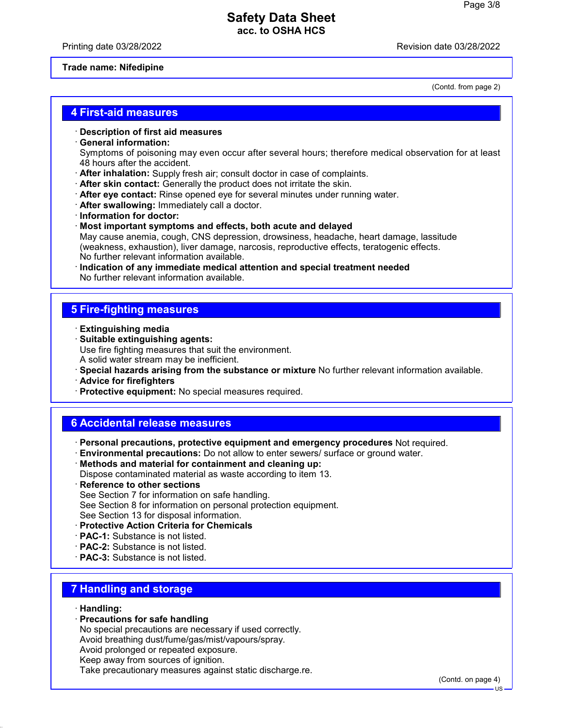Printing date 03/28/2022 Revision date 03/28/2022

(Contd. from page 2)

#### **Trade name: Nifedipine**

**4 First-aid measures**

· **Description of first aid measures**

#### · **General information:**

- Symptoms of poisoning may even occur after several hours; therefore medical observation for at least 48 hours after the accident.
- · **After inhalation:** Supply fresh air; consult doctor in case of complaints.
- · **After skin contact:** Generally the product does not irritate the skin.
- · **After eye contact:** Rinse opened eye for several minutes under running water.
- · **After swallowing:** Immediately call a doctor.
- · **Information for doctor:**
- · **Most important symptoms and effects, both acute and delayed** May cause anemia, cough, CNS depression, drowsiness, headache, heart damage, lassitude (weakness, exhaustion), liver damage, narcosis, reproductive effects, teratogenic effects. No further relevant information available.
- · **Indication of any immediate medical attention and special treatment needed** No further relevant information available.

### **5 Fire-fighting measures**

- · **Extinguishing media**
- · **Suitable extinguishing agents:** Use fire fighting measures that suit the environment. A solid water stream may be inefficient.
- · **Special hazards arising from the substance or mixture** No further relevant information available.
- · **Advice for firefighters**
- · **Protective equipment:** No special measures required.

### **6 Accidental release measures**

- · **Personal precautions, protective equipment and emergency procedures** Not required.
- · **Environmental precautions:** Do not allow to enter sewers/ surface or ground water.
- · **Methods and material for containment and cleaning up:** Dispose contaminated material as waste according to item 13.
- **Reference to other sections** See Section 7 for information on safe handling. See Section 8 for information on personal protection equipment. See Section 13 for disposal information.
- · **Protective Action Criteria for Chemicals**
- · **PAC-1:** Substance is not listed.
- · **PAC-2:** Substance is not listed.
- · **PAC-3:** Substance is not listed.

# **7 Handling and storage**

- · **Handling:**
- · **Precautions for safe handling**

No special precautions are necessary if used correctly.

Avoid breathing dust/fume/gas/mist/vapours/spray.

Avoid prolonged or repeated exposure.

Keep away from sources of ignition.

Take precautionary measures against static discharge.re.

(Contd. on page 4)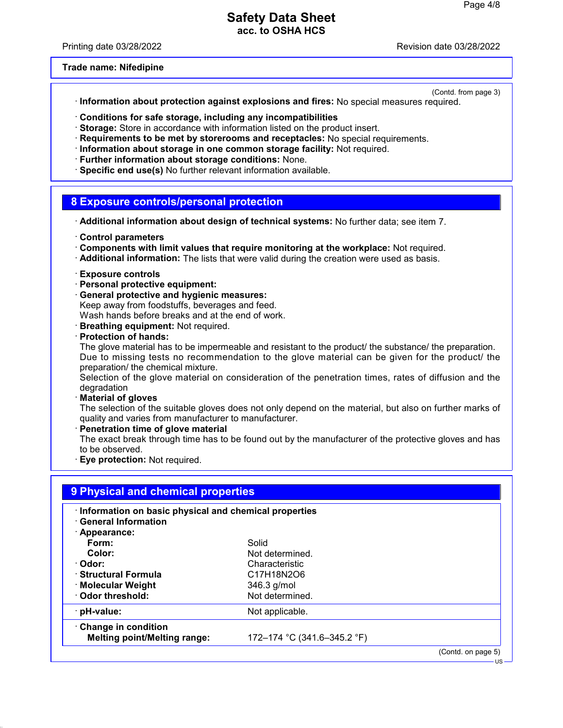Printing date 03/28/2022 Revision date 03/28/2022

#### **Trade name: Nifedipine**

(Contd. from page 3)

- · **Information about protection against explosions and fires:** No special measures required.
- · **Conditions for safe storage, including any incompatibilities**
- · **Storage:** Store in accordance with information listed on the product insert.
- · **Requirements to be met by storerooms and receptacles:** No special requirements.
- · **Information about storage in one common storage facility:** Not required.
- · **Further information about storage conditions:** None.
- · **Specific end use(s)** No further relevant information available.

### **8 Exposure controls/personal protection**

- · **Additional information about design of technical systems:** No further data; see item 7.
- · **Control parameters**
- · **Components with limit values that require monitoring at the workplace:** Not required.
- · **Additional information:** The lists that were valid during the creation were used as basis.
- · **Exposure controls**
- · **Personal protective equipment:**
- · **General protective and hygienic measures:**

Keep away from foodstuffs, beverages and feed.

Wash hands before breaks and at the end of work.

- · **Breathing equipment:** Not required.
- · **Protection of hands:**

The glove material has to be impermeable and resistant to the product/ the substance/ the preparation. Due to missing tests no recommendation to the glove material can be given for the product/ the preparation/ the chemical mixture.

Selection of the glove material on consideration of the penetration times, rates of diffusion and the degradation

· **Material of gloves**

The selection of the suitable gloves does not only depend on the material, but also on further marks of quality and varies from manufacturer to manufacturer.

#### **Penetration time of glove material**

The exact break through time has to be found out by the manufacturer of the protective gloves and has to be observed.

· **Eye protection:** Not required.

| Information on basic physical and chemical properties         |  |
|---------------------------------------------------------------|--|
|                                                               |  |
| Solid                                                         |  |
| Not determined.                                               |  |
| Characteristic                                                |  |
| C <sub>17</sub> H <sub>18</sub> N <sub>2</sub> O <sub>6</sub> |  |
| 346.3 g/mol                                                   |  |
| Not determined.                                               |  |
| Not applicable.                                               |  |
|                                                               |  |
| 172-174 °C (341.6-345.2 °F)                                   |  |
|                                                               |  |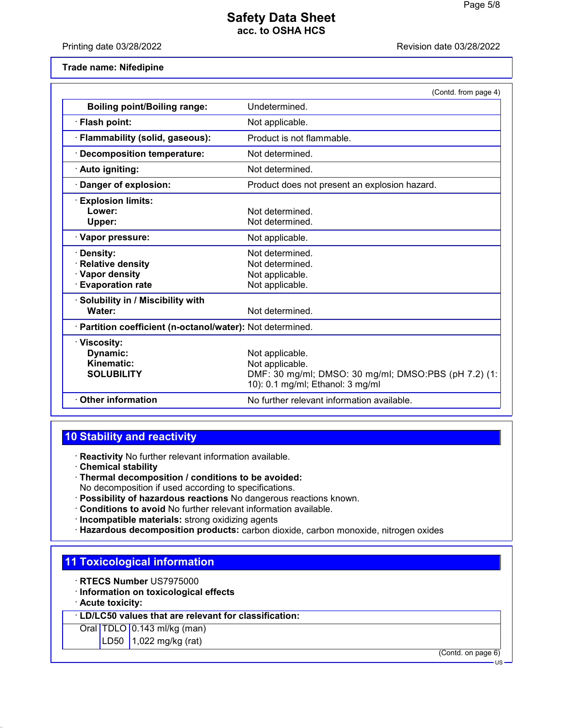Printing date 03/28/2022 Revision date 03/28/2022

**Trade name: Nifedipine**

| <b>Boiling point/Boiling range:</b><br>Undetermined.<br>Not applicable.<br>Product is not flammable.<br>Not determined.<br>Not determined.<br>Product does not present an explosion hazard.<br>Lower:<br>Not determined.<br>Not determined.<br>Upper:<br>Not applicable.<br>Not determined.<br>Not determined.<br>Not applicable.<br>Not applicable.<br>Water:<br>Not determined.<br>· Partition coefficient (n-octanol/water): Not determined.<br>· Viscosity: |                                                                                     | (Contd. from page 4)                                                    |
|-----------------------------------------------------------------------------------------------------------------------------------------------------------------------------------------------------------------------------------------------------------------------------------------------------------------------------------------------------------------------------------------------------------------------------------------------------------------|-------------------------------------------------------------------------------------|-------------------------------------------------------------------------|
|                                                                                                                                                                                                                                                                                                                                                                                                                                                                 |                                                                                     |                                                                         |
|                                                                                                                                                                                                                                                                                                                                                                                                                                                                 | · Flash point:                                                                      |                                                                         |
|                                                                                                                                                                                                                                                                                                                                                                                                                                                                 | · Flammability (solid, gaseous):                                                    |                                                                         |
|                                                                                                                                                                                                                                                                                                                                                                                                                                                                 | <b>Decomposition temperature:</b>                                                   |                                                                         |
|                                                                                                                                                                                                                                                                                                                                                                                                                                                                 | · Auto igniting:                                                                    |                                                                         |
|                                                                                                                                                                                                                                                                                                                                                                                                                                                                 | Danger of explosion:                                                                |                                                                         |
|                                                                                                                                                                                                                                                                                                                                                                                                                                                                 | <b>Explosion limits:</b>                                                            |                                                                         |
|                                                                                                                                                                                                                                                                                                                                                                                                                                                                 |                                                                                     |                                                                         |
|                                                                                                                                                                                                                                                                                                                                                                                                                                                                 | · Vapor pressure:                                                                   |                                                                         |
|                                                                                                                                                                                                                                                                                                                                                                                                                                                                 | · Density:<br><b>Relative density</b><br>· Vapor density<br><b>Evaporation rate</b> |                                                                         |
|                                                                                                                                                                                                                                                                                                                                                                                                                                                                 | · Solubility in / Miscibility with                                                  |                                                                         |
|                                                                                                                                                                                                                                                                                                                                                                                                                                                                 |                                                                                     |                                                                         |
| Kinematic:<br>Not applicable.<br><b>SOLUBILITY</b><br>10): 0.1 mg/ml; Ethanol: 3 mg/ml                                                                                                                                                                                                                                                                                                                                                                          | Dynamic:                                                                            | Not applicable.<br>DMF: 30 mg/ml; DMSO: 30 mg/ml; DMSO:PBS (pH 7.2) (1: |
| No further relevant information available.                                                                                                                                                                                                                                                                                                                                                                                                                      | <b>Other information</b>                                                            |                                                                         |

# **10 Stability and reactivity**

· **Reactivity** No further relevant information available.

- · **Chemical stability**
- · **Thermal decomposition / conditions to be avoided:**
- No decomposition if used according to specifications.
- · **Possibility of hazardous reactions** No dangerous reactions known.
- · **Conditions to avoid** No further relevant information available.
- · **Incompatible materials:** strong oxidizing agents
- · **Hazardous decomposition products:** carbon dioxide, carbon monoxide, nitrogen oxides

### **11 Toxicological information**

- · **RTECS Number** US7975000
- · **Information on toxicological effects**
- · **Acute toxicity:**

### · **LD/LC50 values that are relevant for classification:**

Oral TDLO 0.143 ml/kg (man)

LD50  $\vert$  1,022 mg/kg (rat)

(Contd. on page 6) US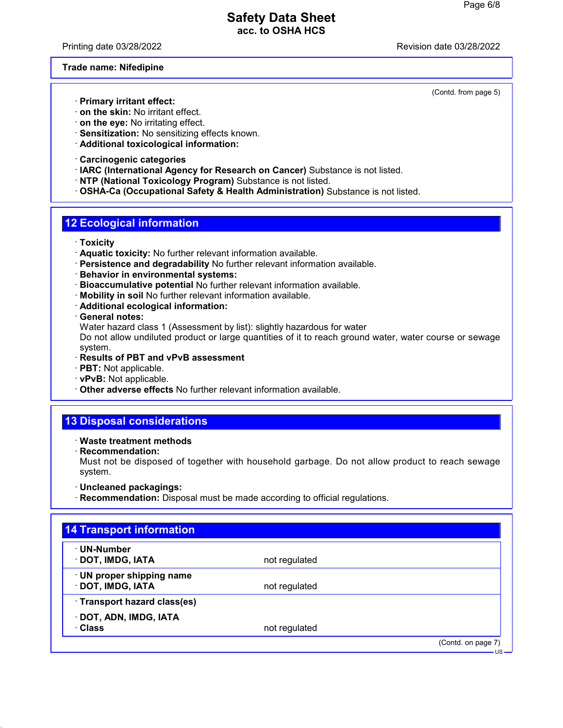Printing date 03/28/2022 Revision date 03/28/2022

(Contd. from page 5)

#### **Trade name: Nifedipine**

· **Primary irritant effect:**

- · **on the skin:** No irritant effect.
- · **on the eye:** No irritating effect.
- · **Sensitization:** No sensitizing effects known.
- · **Additional toxicological information:**
- · **Carcinogenic categories**
- · **IARC (International Agency for Research on Cancer)** Substance is not listed.
- · **NTP (National Toxicology Program)** Substance is not listed.
- · **OSHA-Ca (Occupational Safety & Health Administration)** Substance is not listed.

## **12 Ecological information**

- · **Toxicity**
- · **Aquatic toxicity:** No further relevant information available.
- · **Persistence and degradability** No further relevant information available.
- · **Behavior in environmental systems:**
- · **Bioaccumulative potential** No further relevant information available.
- · **Mobility in soil** No further relevant information available.
- · **Additional ecological information:**

· **General notes:**

Water hazard class 1 (Assessment by list): slightly hazardous for water

Do not allow undiluted product or large quantities of it to reach ground water, water course or sewage system.

- · **Results of PBT and vPvB assessment**
- · **PBT:** Not applicable.
- · **vPvB:** Not applicable.
- · **Other adverse effects** No further relevant information available.

## **13 Disposal considerations**

- · **Waste treatment methods**
- · **Recommendation:**

Must not be disposed of together with household garbage. Do not allow product to reach sewage system.

- · **Uncleaned packagings:**
- · **Recommendation:** Disposal must be made according to official regulations.

| · UN-Number                  |               |  |
|------------------------------|---------------|--|
| · DOT, IMDG, IATA            | not regulated |  |
| · UN proper shipping name    |               |  |
| · DOT, IMDG, IATA            | not regulated |  |
| · Transport hazard class(es) |               |  |
| · DOT, ADN, IMDG, IATA       |               |  |
| · Class                      | not regulated |  |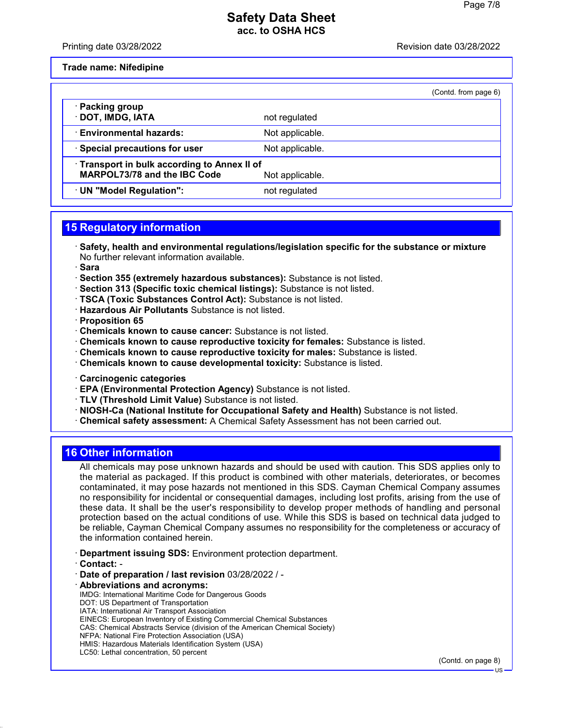Printing date 03/28/2022 **Printing date 03/28/2022** 

**Trade name: Nifedipine**

(Contd. from page 6)

| Packing group<br>· DOT, IMDG, IATA           | not regulated   |  |
|----------------------------------------------|-----------------|--|
|                                              |                 |  |
| · Environmental hazards:                     | Not applicable. |  |
| Special precautions for user                 | Not applicable. |  |
| • Transport in bulk according to Annex II of |                 |  |
| <b>MARPOL73/78 and the IBC Code</b>          | Not applicable. |  |
| · UN "Model Regulation":                     | not regulated   |  |

## **15 Regulatory information**

· **Safety, health and environmental regulations/legislation specific for the substance or mixture** No further relevant information available.

· **Sara**

- · **Section 355 (extremely hazardous substances):** Substance is not listed.
- · **Section 313 (Specific toxic chemical listings):** Substance is not listed.
- · **TSCA (Toxic Substances Control Act):** Substance is not listed.
- · **Hazardous Air Pollutants** Substance is not listed.

· **Proposition 65**

- · **Chemicals known to cause cancer:** Substance is not listed.
- · **Chemicals known to cause reproductive toxicity for females:** Substance is listed.
- · **Chemicals known to cause reproductive toxicity for males:** Substance is listed.
- · **Chemicals known to cause developmental toxicity:** Substance is listed.
- · **Carcinogenic categories**
- · **EPA (Environmental Protection Agency)** Substance is not listed.
- · **TLV (Threshold Limit Value)** Substance is not listed.
- · **NIOSH-Ca (National Institute for Occupational Safety and Health)** Substance is not listed.
- · **Chemical safety assessment:** A Chemical Safety Assessment has not been carried out.

### **16 Other information**

All chemicals may pose unknown hazards and should be used with caution. This SDS applies only to the material as packaged. If this product is combined with other materials, deteriorates, or becomes contaminated, it may pose hazards not mentioned in this SDS. Cayman Chemical Company assumes no responsibility for incidental or consequential damages, including lost profits, arising from the use of these data. It shall be the user's responsibility to develop proper methods of handling and personal protection based on the actual conditions of use. While this SDS is based on technical data judged to be reliable, Cayman Chemical Company assumes no responsibility for the completeness or accuracy of the information contained herein.

- · **Department issuing SDS:** Environment protection department.
- · **Contact:** -
- · **Date of preparation / last revision** 03/28/2022 / -
- · **Abbreviations and acronyms:**
- IMDG: International Maritime Code for Dangerous Goods DOT: US Department of Transportation IATA: International Air Transport Association EINECS: European Inventory of Existing Commercial Chemical Substances CAS: Chemical Abstracts Service (division of the American Chemical Society) NFPA: National Fire Protection Association (USA) HMIS: Hazardous Materials Identification System (USA) LC50: Lethal concentration, 50 percent

(Contd. on page 8)

US